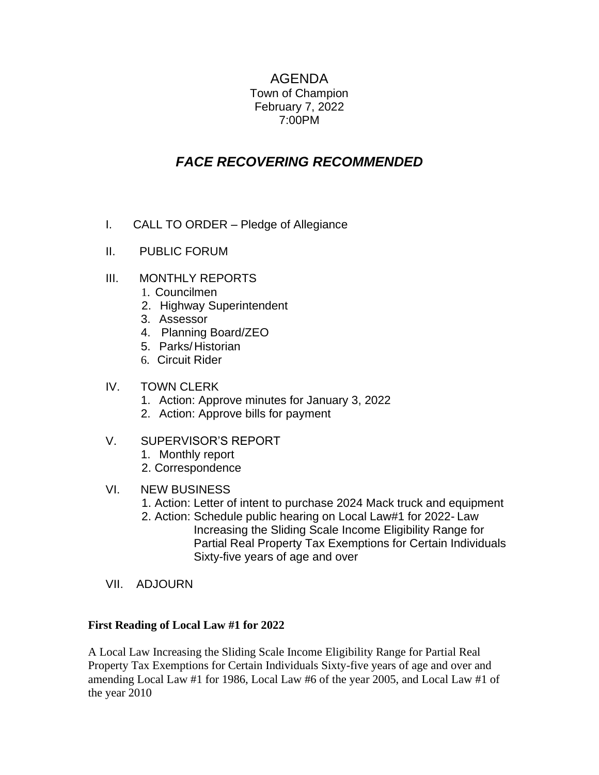## AGENDA Town of Champion February 7, 2022 7:00PM

## *FACE RECOVERING RECOMMENDED*

- I. CALL TO ORDER Pledge of Allegiance
- II. PUBLIC FORUM
- III. MONTHLY REPORTS
	- 1. Councilmen
	- 2. Highway Superintendent
	- 3. Assessor
	- 4. Planning Board/ZEO
	- 5. Parks/ Historian
	- 6. Circuit Rider
- IV. TOWN CLERK
	- 1. Action: Approve minutes for January 3, 2022
	- 2. Action: Approve bills for payment
- V. SUPERVISOR'S REPORT
	- 1. Monthly report
	- 2. Correspondence
- VI. NEW BUSINESS
	- 1. Action: Letter of intent to purchase 2024 Mack truck and equipment
	- 2. Action: Schedule public hearing on Local Law#1 for 2022- Law Increasing the Sliding Scale Income Eligibility Range for Partial Real Property Tax Exemptions for Certain Individuals Sixty-five years of age and over
- VII. ADJOURN

## **First Reading of Local Law #1 for 2022**

A Local Law Increasing the Sliding Scale Income Eligibility Range for Partial Real Property Tax Exemptions for Certain Individuals Sixty-five years of age and over and amending Local Law #1 for 1986, Local Law #6 of the year 2005, and Local Law #1 of the year 2010